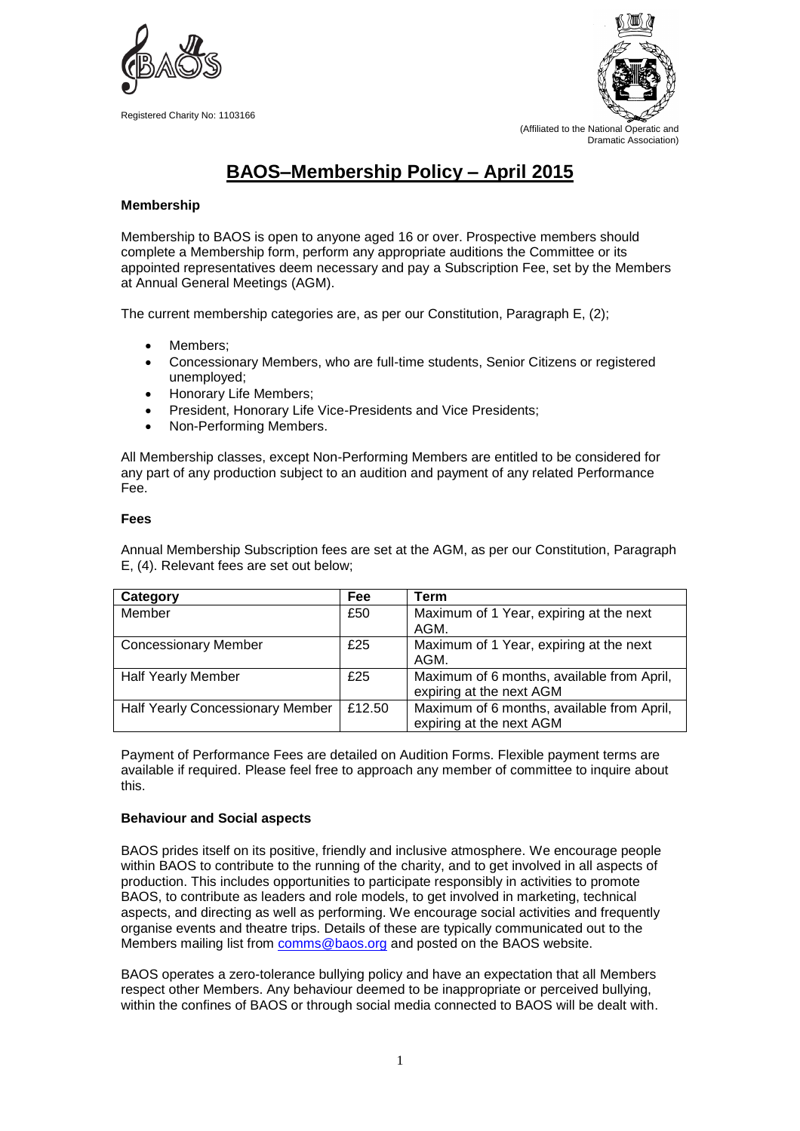

Registered Charity No: 1103166



# **BAOS–Membership Policy – April 2015**

## **Membership**

Membership to BAOS is open to anyone aged 16 or over. Prospective members should complete a Membership form, perform any appropriate auditions the Committee or its appointed representatives deem necessary and pay a Subscription Fee, set by the Members at Annual General Meetings (AGM).

The current membership categories are, as per our Constitution, Paragraph E, (2);

- Members;
- Concessionary Members, who are full-time students, Senior Citizens or registered unemployed;
- Honorary Life Members;
- President, Honorary Life Vice-Presidents and Vice Presidents;
- Non-Performing Members.

All Membership classes, except Non-Performing Members are entitled to be considered for any part of any production subject to an audition and payment of any related Performance Fee.

### **Fees**

Annual Membership Subscription fees are set at the AGM, as per our Constitution, Paragraph E, (4). Relevant fees are set out below;

| Category                         | Fee    | Term                                       |
|----------------------------------|--------|--------------------------------------------|
| Member                           | £50    | Maximum of 1 Year, expiring at the next    |
|                                  |        | AGM.                                       |
| <b>Concessionary Member</b>      | £25    | Maximum of 1 Year, expiring at the next    |
|                                  |        | AGM.                                       |
| <b>Half Yearly Member</b>        | £25    | Maximum of 6 months, available from April, |
|                                  |        | expiring at the next AGM                   |
| Half Yearly Concessionary Member | £12.50 | Maximum of 6 months, available from April, |
|                                  |        | expiring at the next AGM                   |

Payment of Performance Fees are detailed on Audition Forms. Flexible payment terms are available if required. Please feel free to approach any member of committee to inquire about this.

### **Behaviour and Social aspects**

BAOS prides itself on its positive, friendly and inclusive atmosphere. We encourage people within BAOS to contribute to the running of the charity, and to get involved in all aspects of production. This includes opportunities to participate responsibly in activities to promote BAOS, to contribute as leaders and role models, to get involved in marketing, technical aspects, and directing as well as performing. We encourage social activities and frequently organise events and theatre trips. Details of these are typically communicated out to the Members mailing list from [comms@baos.org](mailto:comms@baos.org) and posted on the BAOS website.

BAOS operates a zero-tolerance bullying policy and have an expectation that all Members respect other Members. Any behaviour deemed to be inappropriate or perceived bullying, within the confines of BAOS or through social media connected to BAOS will be dealt with.